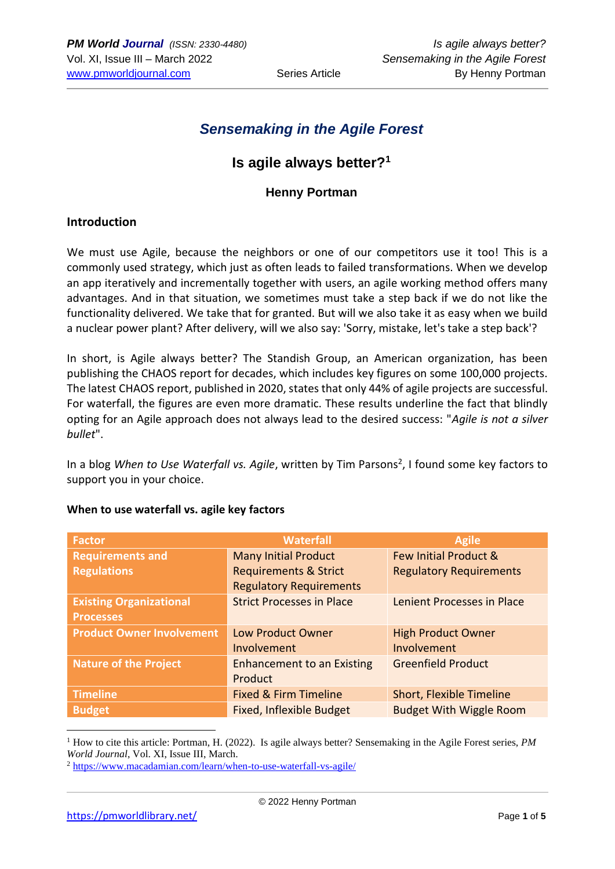# *Sensemaking in the Agile Forest*

## **Is agile always better?<sup>1</sup>**

### **Henny Portman**

#### **Introduction**

We must use Agile, because the neighbors or one of our competitors use it too! This is a commonly used strategy, which just as often leads to failed transformations. When we develop an app iteratively and incrementally together with users, an agile working method offers many advantages. And in that situation, we sometimes must take a step back if we do not like the functionality delivered. We take that for granted. But will we also take it as easy when we build a nuclear power plant? After delivery, will we also say: 'Sorry, mistake, let's take a step back'?

In short, is Agile always better? The Standish Group, an American organization, has been publishing the CHAOS report for decades, which includes key figures on some 100,000 projects. The latest CHAOS report, published in 2020, states that only 44% of agile projects are successful. For waterfall, the figures are even more dramatic. These results underline the fact that blindly opting for an Agile approach does not always lead to the desired success: "*Agile is not a silver bullet*".

In a blog When to Use Waterfall vs. Agile, written by Tim Parsons<sup>2</sup>, I found some key factors to support you in your choice.

| <b>Factor</b>                    | <b>Waterfall</b>                  | <b>Agile</b>                     |
|----------------------------------|-----------------------------------|----------------------------------|
| <b>Requirements and</b>          | <b>Many Initial Product</b>       | <b>Few Initial Product &amp;</b> |
| <b>Regulations</b>               | <b>Requirements &amp; Strict</b>  | <b>Regulatory Requirements</b>   |
|                                  | <b>Regulatory Requirements</b>    |                                  |
| <b>Existing Organizational</b>   | <b>Strict Processes in Place</b>  | Lenient Processes in Place       |
| <b>Processes</b>                 |                                   |                                  |
| <b>Product Owner Involvement</b> | Low Product Owner                 | <b>High Product Owner</b>        |
|                                  | Involvement                       | Involvement                      |
| <b>Nature of the Project</b>     | <b>Enhancement to an Existing</b> | <b>Greenfield Product</b>        |
|                                  | Product                           |                                  |
| <b>Timeline</b>                  | <b>Fixed &amp; Firm Timeline</b>  | Short, Flexible Timeline         |
| <b>Budget</b>                    | <b>Fixed, Inflexible Budget</b>   | <b>Budget With Wiggle Room</b>   |

#### **When to use waterfall vs. agile key factors**

<sup>1</sup> How to cite this article: Portman, H. (2022). Is agile always better? Sensemaking in the Agile Forest series, *PM World Journal*, Vol. XI, Issue III, March.

<sup>2</sup> <https://www.macadamian.com/learn/when-to-use-waterfall-vs-agile/>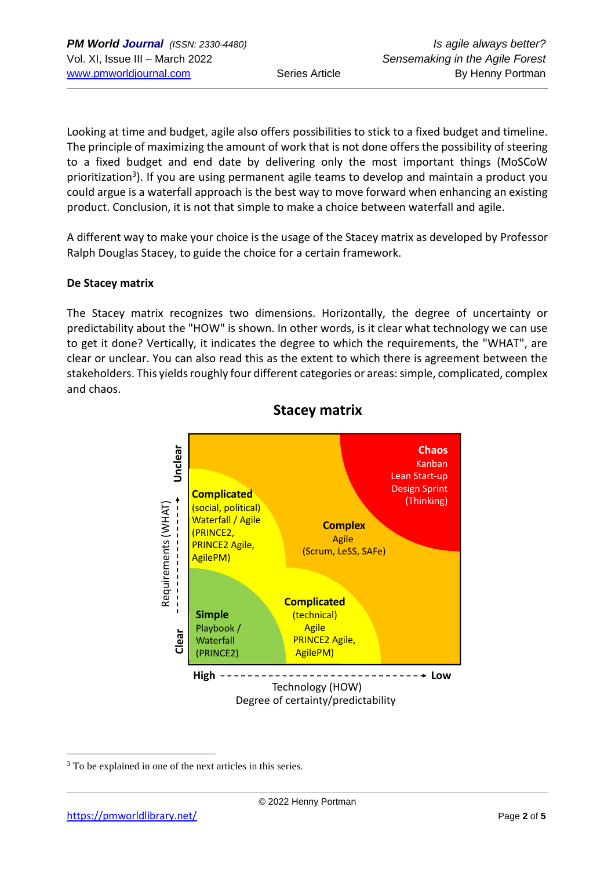Looking at time and budget, agile also offers possibilities to stick to a fixed budget and timeline. The principle of maximizing the amount of work that is not done offers the possibility of steering to a fixed budget and end date by delivering only the most important things (MoSCoW prioritization<sup>3</sup>). If you are using permanent agile teams to develop and maintain a product you could argue is a waterfall approach is the best way to move forward when enhancing an existing product. Conclusion, it is not that simple to make a choice between waterfall and agile.

A different way to make your choice is the usage of the Stacey matrix as developed by Professor Ralph Douglas Stacey, to guide the choice for a certain framework.

#### **De Stacey matrix**

The Stacey matrix recognizes two dimensions. Horizontally, the degree of uncertainty or predictability about the "HOW" is shown. In other words, is it clear what technology we can use to get it done? Vertically, it indicates the degree to which the requirements, the "WHAT", are clear or unclear. You can also read this as the extent to which there is agreement between the stakeholders. This yields roughly four different categories or areas: simple, complicated, complex and chaos.



### **Stacey matrix**

<sup>&</sup>lt;sup>3</sup> To be explained in one of the next articles in this series.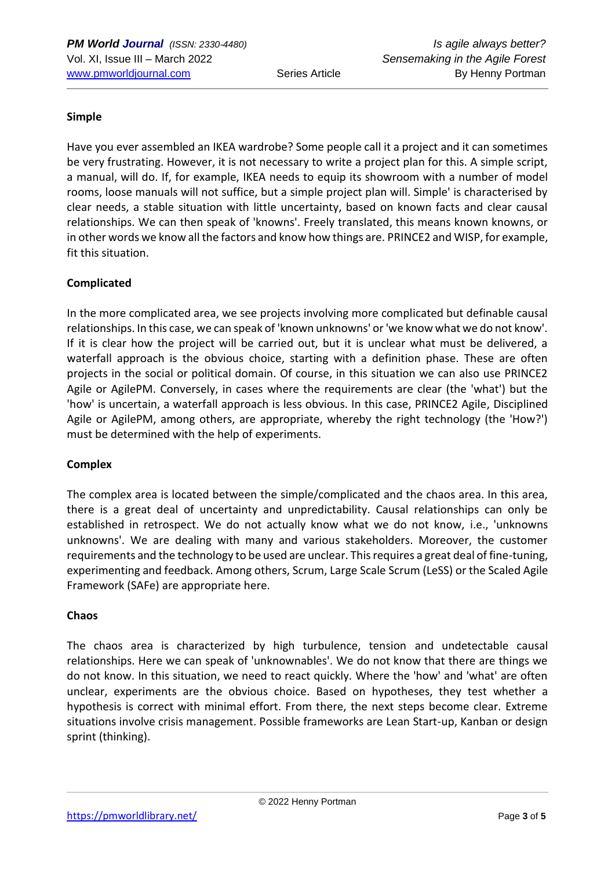#### **Simple**

Have you ever assembled an IKEA wardrobe? Some people call it a project and it can sometimes be very frustrating. However, it is not necessary to write a project plan for this. A simple script, a manual, will do. If, for example, IKEA needs to equip its showroom with a number of model rooms, loose manuals will not suffice, but a simple project plan will. Simple' is characterised by clear needs, a stable situation with little uncertainty, based on known facts and clear causal relationships. We can then speak of 'knowns'. Freely translated, this means known knowns, or in other words we know all the factors and know how things are. PRINCE2 and WISP, for example, fit this situation.

#### **Complicated**

In the more complicated area, we see projects involving more complicated but definable causal relationships. In this case, we can speak of 'known unknowns' or 'we know what we do not know'. If it is clear how the project will be carried out, but it is unclear what must be delivered, a waterfall approach is the obvious choice, starting with a definition phase. These are often projects in the social or political domain. Of course, in this situation we can also use PRINCE2 Agile or AgilePM. Conversely, in cases where the requirements are clear (the 'what') but the 'how' is uncertain, a waterfall approach is less obvious. In this case, PRINCE2 Agile, Disciplined Agile or AgilePM, among others, are appropriate, whereby the right technology (the 'How?') must be determined with the help of experiments.

#### **Complex**

The complex area is located between the simple/complicated and the chaos area. In this area, there is a great deal of uncertainty and unpredictability. Causal relationships can only be established in retrospect. We do not actually know what we do not know, i.e., 'unknowns unknowns'. We are dealing with many and various stakeholders. Moreover, the customer requirements and the technology to be used are unclear. This requires a great deal of fine-tuning, experimenting and feedback. Among others, Scrum, Large Scale Scrum (LeSS) or the Scaled Agile Framework (SAFe) are appropriate here.

#### **Chaos**

The chaos area is characterized by high turbulence, tension and undetectable causal relationships. Here we can speak of 'unknownables'. We do not know that there are things we do not know. In this situation, we need to react quickly. Where the 'how' and 'what' are often unclear, experiments are the obvious choice. Based on hypotheses, they test whether a hypothesis is correct with minimal effort. From there, the next steps become clear. Extreme situations involve crisis management. Possible frameworks are Lean Start-up, Kanban or design sprint (thinking).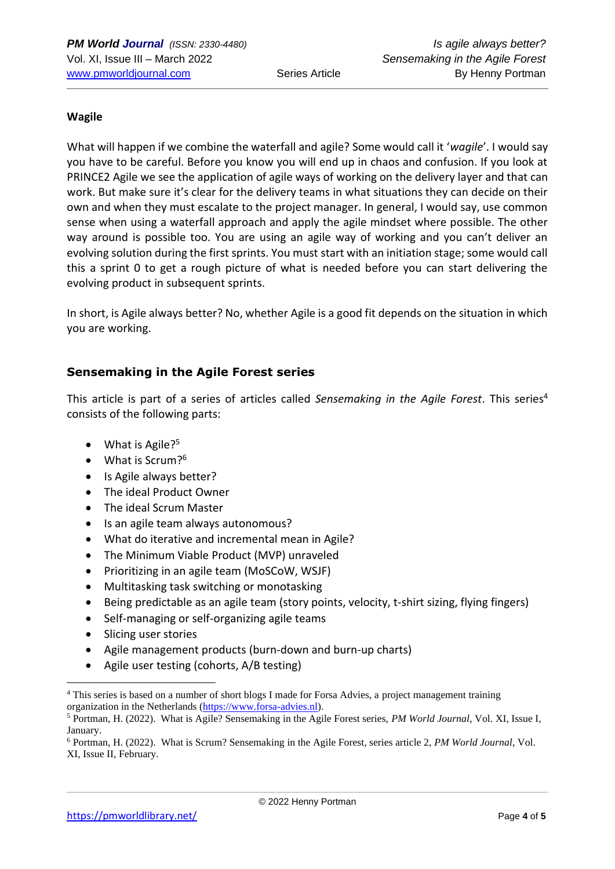#### **Wagile**

What will happen if we combine the waterfall and agile? Some would call it '*wagile*'. I would say you have to be careful. Before you know you will end up in chaos and confusion. If you look at PRINCE2 Agile we see the application of agile ways of working on the delivery layer and that can work. But make sure it's clear for the delivery teams in what situations they can decide on their own and when they must escalate to the project manager. In general, I would say, use common sense when using a waterfall approach and apply the agile mindset where possible. The other way around is possible too. You are using an agile way of working and you can't deliver an evolving solution during the first sprints. You must start with an initiation stage; some would call this a sprint 0 to get a rough picture of what is needed before you can start delivering the evolving product in subsequent sprints.

In short, is Agile always better? No, whether Agile is a good fit depends on the situation in which you are working.

#### **Sensemaking in the Agile Forest series**

This article is part of a series of articles called *Sensemaking in the Agile Forest*. This series<sup>4</sup> consists of the following parts:

- What is Agile?<sup>5</sup>
- What is Scrum?<sup>6</sup>
- Is Agile always better?
- The ideal Product Owner
- The ideal Scrum Master
- Is an agile team always autonomous?
- What do iterative and incremental mean in Agile?
- The Minimum Viable Product (MVP) unraveled
- Prioritizing in an agile team (MoSCoW, WSJF)
- Multitasking task switching or monotasking
- Being predictable as an agile team (story points, velocity, t-shirt sizing, flying fingers)
- Self-managing or self-organizing agile teams
- Slicing user stories
- Agile management products (burn-down and burn-up charts)
- Agile user testing (cohorts, A/B testing)

<sup>4</sup> This series is based on a number of short blogs I made for Forsa Advies, a project management training organization in the Netherlands [\(https://www.forsa-advies.nl\)](https://www.forsa-advies.nl/).

<sup>5</sup> Portman, H. (2022). What is Agile? Sensemaking in the Agile Forest series, *PM World Journal*, Vol. XI, Issue I, January.

<sup>6</sup> Portman, H. (2022). What is Scrum? Sensemaking in the Agile Forest, series article 2, *PM World Journal*, Vol. XI, Issue II, February.